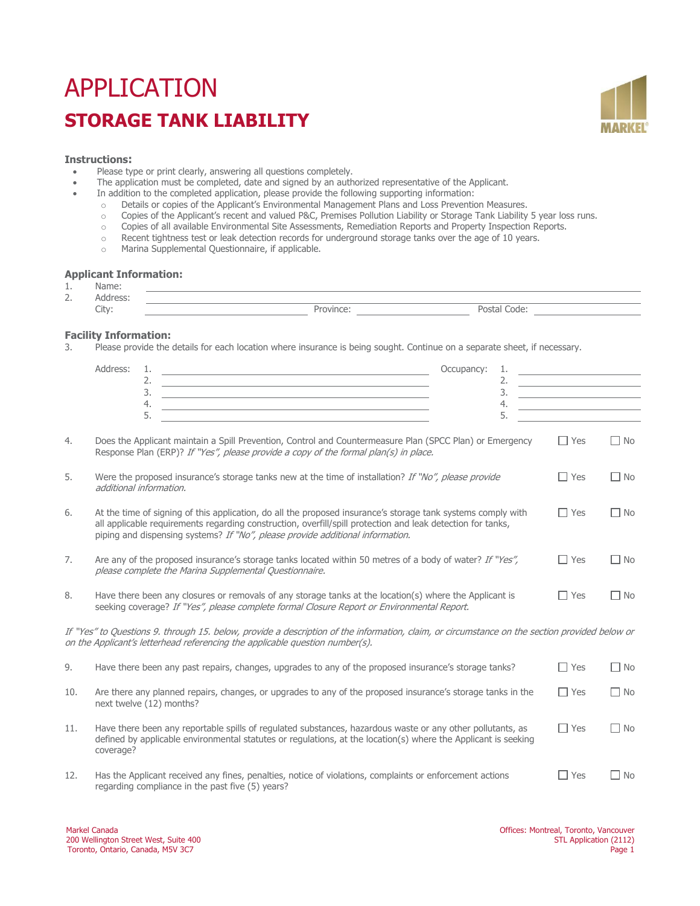# APPLICATION **STORAGE TANK LIABILITY**



### **Instructions:**

- Please type or print clearly, answering all questions completely.<br>• The annication must be completed, date and signed by an auth
- The application must be completed, date and signed by an authorized representative of the Applicant.<br>• In addition to the completed application, please provide the following supporting information:
	- In addition to the completed application, please provide the following supporting information:
		-
		- o Details or copies of the Applicant's Environmental Management Plans and Loss Prevention Measures.<br>Copies of the Applicant's recent and valued P&C, Premises Pollution Liability or Storage Tank Liability o Copies of the Applicant's recent and valued P&C, Premises Pollution Liability or Storage Tank Liability 5 year loss runs.<br>
		Copies of all available Environmental Site Assessments, Remediation Reports and Property Inspecti
		-
		- o Copies of all available Environmental Site Assessments, Remediation Reports and Property Inspection Reports.<br>
		Recent tightness test or leak detection records for underground storage tanks over the age of 10 years. o Recent tightness test or leak detection records for underground storage tanks over the age of 10 years.<br>Marina Supplemental Questionnaire, if applicable.
		- Marina Supplemental Questionnaire, if applicable.

### **Applicant Information:**

| . .             | $-1 - 1 - 1$<br>пе<br>lbV |       |                 |  |
|-----------------|---------------------------|-------|-----------------|--|
| -<br><u>_ .</u> |                           |       |                 |  |
|                 | City:                     | ำvini | ∩d≏<br>w<br>___ |  |

# **Facility Information:**<br>3 **Please provide the**

Please provide the details for each location where insurance is being sought. Continue on a separate sheet, if necessary.

|     | Address:<br>1.<br>the control of the control of the control of the control of the control of the control of<br>2.<br><u> 1989 - Johann Stein, marwolaethau a bhann an t-Amhain an t-Amhain an t-Amhain an t-Amhain an t-Amhain an t-A</u><br>3.<br><u> 1989 - Johann Stein, marwolaethau a bhann an t-Amhainn an t-Amhainn an t-Amhainn an t-Amhainn an t-Amhainn an</u><br>4.<br><u> 1989 - Johann Stein, mars an deutscher Stein und der Stein und der Stein und der Stein und der Stein und der</u> | Occupancy: | 2.<br>3.<br>4. | <u> 1989 - Johann Barn, mars ann an t-A</u><br><u> 1989 - Johann Barn, mars ann an t-Amhain</u><br><u> 1989 - Johann Barn, mars ann an t-Amhain</u><br><u> 1989 - Johann Barbara, martin a</u> |           |
|-----|--------------------------------------------------------------------------------------------------------------------------------------------------------------------------------------------------------------------------------------------------------------------------------------------------------------------------------------------------------------------------------------------------------------------------------------------------------------------------------------------------------|------------|----------------|------------------------------------------------------------------------------------------------------------------------------------------------------------------------------------------------|-----------|
|     | 5.<br><u> 1989 - Johann Stein, marwolaethau a bhann an t-Amhair an t-Amhair an t-Amhair an t-Amhair an t-Amhair an t-A</u>                                                                                                                                                                                                                                                                                                                                                                             |            | 5.             |                                                                                                                                                                                                |           |
| 4.  | Does the Applicant maintain a Spill Prevention, Control and Countermeasure Plan (SPCC Plan) or Emergency<br>Response Plan (ERP)? If "Yes", please provide a copy of the formal plan(s) in place.                                                                                                                                                                                                                                                                                                       |            |                | $\Box$ Yes                                                                                                                                                                                     | $\Box$ No |
| 5.  | Were the proposed insurance's storage tanks new at the time of installation? If "No", please provide<br>additional information.                                                                                                                                                                                                                                                                                                                                                                        |            |                | $\Box$ Yes                                                                                                                                                                                     | $\Box$ No |
| 6.  | At the time of signing of this application, do all the proposed insurance's storage tank systems comply with<br>all applicable requirements regarding construction, overfill/spill protection and leak detection for tanks,<br>piping and dispensing systems? If "No", please provide additional information.                                                                                                                                                                                          |            |                | $\Box$ Yes                                                                                                                                                                                     | $\Box$ No |
| 7.  | Are any of the proposed insurance's storage tanks located within 50 metres of a body of water? If "Yes",<br>please complete the Marina Supplemental Questionnaire.                                                                                                                                                                                                                                                                                                                                     |            |                | $\Box$ Yes                                                                                                                                                                                     | $\Box$ No |
| 8.  | Have there been any closures or removals of any storage tanks at the location(s) where the Applicant is<br>seeking coverage? If "Yes", please complete formal Closure Report or Environmental Report.                                                                                                                                                                                                                                                                                                  |            |                | $\Box$ Yes                                                                                                                                                                                     | $\Box$ No |
|     | If "Yes" to Questions 9. through 15. below, provide a description of the information, claim, or circumstance on the section provided below or<br>on the Applicant's letterhead referencing the applicable question number(s).                                                                                                                                                                                                                                                                          |            |                |                                                                                                                                                                                                |           |
| 9.  | Have there been any past repairs, changes, upgrades to any of the proposed insurance's storage tanks?                                                                                                                                                                                                                                                                                                                                                                                                  |            |                | $\Box$ Yes                                                                                                                                                                                     | $\Box$ No |
| 10. | Are there any planned repairs, changes, or upgrades to any of the proposed insurance's storage tanks in the<br>next twelve (12) months?                                                                                                                                                                                                                                                                                                                                                                |            |                | $\Box$ Yes                                                                                                                                                                                     | $\Box$ No |
| 11. | Have there been any reportable spills of regulated substances, hazardous waste or any other pollutants, as<br>defined by applicable environmental statutes or regulations, at the location(s) where the Applicant is seeking<br>coverage?                                                                                                                                                                                                                                                              |            |                | $\Box$ Yes                                                                                                                                                                                     | $\Box$ No |
| 12. | Has the Applicant received any fines, penalties, notice of violations, complaints or enforcement actions<br>regarding compliance in the past five (5) years?                                                                                                                                                                                                                                                                                                                                           |            |                | $\Box$ Yes                                                                                                                                                                                     | $\Box$ No |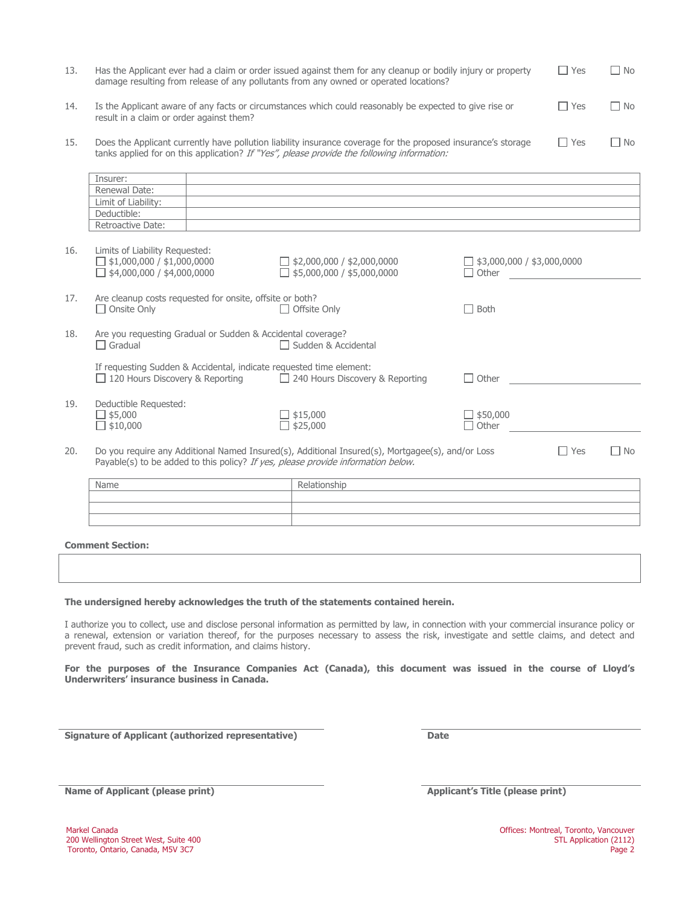| -13. | Has the Applicant ever had a claim or order issued against them for any cleanup or bodily injury or property<br>damage resulting from release of any pollutants from any owned or operated locations?       | $\Box$ Yes | l No |
|------|-------------------------------------------------------------------------------------------------------------------------------------------------------------------------------------------------------------|------------|------|
| 14.  | Is the Applicant aware of any facts or circumstances which could reasonably be expected to give rise or<br>result in a claim or order against them?                                                         | l Yes      | l No |
| 15.  | Does the Applicant currently have pollution liability insurance coverage for the proposed insurance's storage<br>tanks applied for on this application? If "Yes", please provide the following information: | $\Box$ Yes | l No |

|     | Insurer:                                                                                                                                             |                                                                                                  |                                            |
|-----|------------------------------------------------------------------------------------------------------------------------------------------------------|--------------------------------------------------------------------------------------------------|--------------------------------------------|
|     | Renewal Date:                                                                                                                                        |                                                                                                  |                                            |
|     | Limit of Liability:                                                                                                                                  |                                                                                                  |                                            |
|     | Deductible:                                                                                                                                          |                                                                                                  |                                            |
|     | Retroactive Date:                                                                                                                                    |                                                                                                  |                                            |
| 16. | Limits of Liability Requested:<br>$\Box$ \$1,000,000 / \$1,000,0000<br>$\Box$ \$4,000,000 / \$4,000,0000                                             | $\Box$ \$2,000,000 / \$2,000,0000<br>$\Box$ \$5,000,000 / \$5,000,0000                           | $\Box$ \$3,000,000 / \$3,000,0000<br>Other |
| 17. | Are cleanup costs requested for onsite, offsite or both?<br>$\Box$ Onsite Only                                                                       | $\Box$ Offsite Only                                                                              | <b>Both</b>                                |
| 18. | Are you requesting Gradual or Sudden & Accidental coverage?<br>$\Box$ Gradual                                                                        | □ Sudden & Accidental                                                                            |                                            |
|     | If requesting Sudden & Accidental, indicate requested time element:<br>$\Box$ 120 Hours Discovery & Reporting $\Box$ 240 Hours Discovery & Reporting |                                                                                                  | Other                                      |
| 19. | Deductible Requested:<br>$\Box$ \$5,000<br>$\Box$ \$10,000                                                                                           | $\Box$ \$15,000<br>$\Box$ \$25,000                                                               | $\frac{1}{2}$ \$50,000<br>Other            |
| 20. | Payable(s) to be added to this policy? If yes, please provide information below.                                                                     | Do you require any Additional Named Insured(s), Additional Insured(s), Mortgagee(s), and/or Loss | $\Box$ Yes<br>$\Box$ No                    |

| Name | Relationship |
|------|--------------|
|      |              |
|      |              |
|      |              |

**Comment Section:**

### **The undersigned hereby acknowledges the truth of the statements contained herein.**

I authorize you to collect, use and disclose personal information as permitted by law, in connection with your commercial insurance policy or a renewal, extension or variation thereof, for the purposes necessary to assess the risk, investigate and settle claims, and detect and prevent fraud, such as credit information, and claims history.

**For the purposes of the Insurance Companies Act (Canada), this document was issued in the course of Lloyd's Underwriters' insurance business in Canada.** 

**Signature of Applicant (authorized representative) Date**

**Name of Applicant (please print) Applicant's Title (please print) Applicant's Title** (please print)

Toronto, Ontario, Canada, M5V 3C7

Markel Canada Canada Offices: Montreal, Toronto, Vancouver<br>200 Wellington Street West, Suite 400 STL Application (2112) 200 Wellington Street West, Suite 400 STL Application (2112)<br>200 Toronto, Ontario, Canada, M5V 3C7 STL Application (2112)